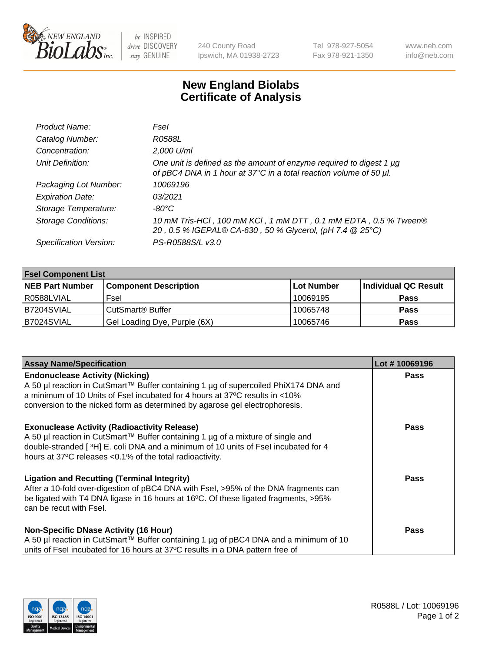

 $be$  INSPIRED drive DISCOVERY stay GENUINE

240 County Road Ipswich, MA 01938-2723 Tel 978-927-5054 Fax 978-921-1350 www.neb.com info@neb.com

## **New England Biolabs Certificate of Analysis**

| Product Name:              | Fsel                                                                                                                                      |
|----------------------------|-------------------------------------------------------------------------------------------------------------------------------------------|
| Catalog Number:            | R0588L                                                                                                                                    |
| Concentration:             | 2,000 U/ml                                                                                                                                |
| Unit Definition:           | One unit is defined as the amount of enzyme required to digest 1 µg<br>of pBC4 DNA in 1 hour at 37°C in a total reaction volume of 50 µl. |
| Packaging Lot Number:      | 10069196                                                                                                                                  |
| <b>Expiration Date:</b>    | 03/2021                                                                                                                                   |
| Storage Temperature:       | -80°C                                                                                                                                     |
| <b>Storage Conditions:</b> | 10 mM Tris-HCl, 100 mM KCl, 1 mM DTT, 0.1 mM EDTA, 0.5 % Tween®<br>20, 0.5 % IGEPAL® CA-630, 50 % Glycerol, (pH 7.4 @ 25°C)               |
| Specification Version:     | PS-R0588S/L v3.0                                                                                                                          |

| <b>Fsel Component List</b> |                              |            |                      |  |  |
|----------------------------|------------------------------|------------|----------------------|--|--|
| <b>NEB Part Number</b>     | <b>Component Description</b> | Lot Number | Individual QC Result |  |  |
| R0588LVIAL                 | Fsel                         | 10069195   | <b>Pass</b>          |  |  |
| B7204SVIAL                 | CutSmart <sup>®</sup> Buffer | 10065748   | <b>Pass</b>          |  |  |
| B7024SVIAL                 | Gel Loading Dye, Purple (6X) | 10065746   | <b>Pass</b>          |  |  |

| <b>Assay Name/Specification</b>                                                                                                                                                                                                                                                            | Lot #10069196 |
|--------------------------------------------------------------------------------------------------------------------------------------------------------------------------------------------------------------------------------------------------------------------------------------------|---------------|
| <b>Endonuclease Activity (Nicking)</b><br>  A 50 µl reaction in CutSmart™ Buffer containing 1 µg of supercoiled PhiX174 DNA and                                                                                                                                                            | <b>Pass</b>   |
| a minimum of 10 Units of Fsel incubated for 4 hours at 37°C results in <10%<br>conversion to the nicked form as determined by agarose gel electrophoresis.                                                                                                                                 |               |
| <b>Exonuclease Activity (Radioactivity Release)</b><br>  A 50 µl reaction in CutSmart™ Buffer containing 1 µg of a mixture of single and<br>double-stranded [3H] E. coli DNA and a minimum of 10 units of Fsel incubated for 4<br>hours at 37°C releases <0.1% of the total radioactivity. | Pass          |
| <b>Ligation and Recutting (Terminal Integrity)</b><br>After a 10-fold over-digestion of pBC4 DNA with Fsel, >95% of the DNA fragments can<br>be ligated with T4 DNA ligase in 16 hours at 16°C. Of these ligated fragments, >95%<br>can be recut with Fsel.                                | Pass          |
| <b>Non-Specific DNase Activity (16 Hour)</b>                                                                                                                                                                                                                                               | <b>Pass</b>   |
| A 50 µl reaction in CutSmart™ Buffer containing 1 µg of pBC4 DNA and a minimum of 10<br>units of Fsel incubated for 16 hours at 37°C results in a DNA pattern free of                                                                                                                      |               |